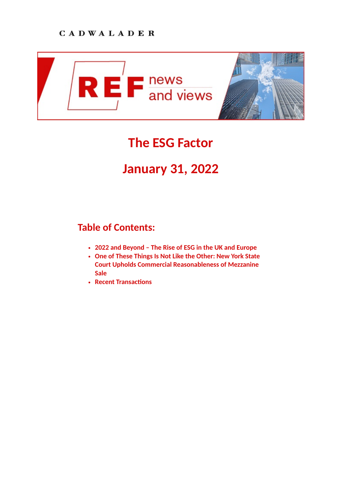

# **The ESG Factor**

## **January 31, 2022**

## **Table of Contents:**

- **[2022 and Beyond The Rise of ESG in the UK and Europe](https://www.cadwalader.com/ref-news-views/index.php?eid=189&nid=42%22)**
- **[One of These Things Is Not Like the Other: New York State](https://www.cadwalader.com/ref-news-views/index.php?eid=190&nid=42%22) Court Upholds Commercial Reasonableness of Mezzanine Sale**
- **Recent Transactions**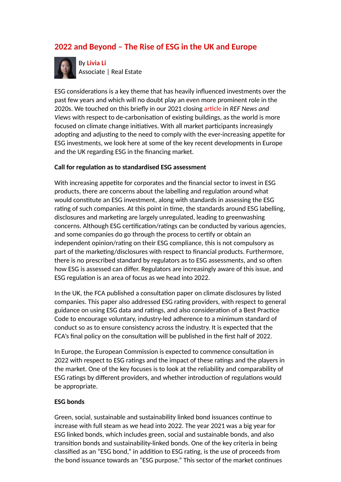## **2022 and Beyond – The Rise of ESG in the UK and Europe**



By **[Livia Li](https://www.cadwalader.com/professionals/livia-li)** Associate | Real Estate

ESG considerations is a key theme that has heavily influenced investments over the past few years and which will no doubt play an even more prominent role in the 2020s. We touched on this briefly in our 2021 closing article in *REF News and Views* with respect to de-carbonisation of existing buildings, as the world is more focused on climate change initiatives. With all market participants increasingly adopting and adjusting to the need to comply with the ever-increasing appetite for ESG investments, we look here at some of the key recent developments in Europe and the UK regarding ESG in the financing market.

#### **Call for regulation as to standardised ESG assessment**

With increasing appetite for corporates and the financial sector to invest in ESG products, there are concerns about the labelling and regulation around what would constitute an ESG investment, along with standards in assessing the ESG rating of such companies. At this point in time, the standards around ESG labelling, disclosures and marketing are largely unregulated, leading to greenwashing concerns. Although ESG certification/ratings can be conducted by various agencies, and some companies do go through the process to certify or obtain an independent opinion/rating on their ESG compliance, this is not compulsory as part of the marketing/disclosures with respect to financial products. Furthermore, there is no prescribed standard by regulators as to ESG assessments, and so often how ESG is assessed can differ. Regulators are increasingly aware of this issue, and ESG regulation is an area of focus as we head into 2022.

In the UK, the FCA published a consultation paper on climate disclosures by listed companies. This paper also addressed ESG rating providers, with respect to general guidance on using ESG data and ratings, and also consideration of a Best Practice Code to encourage voluntary, industry-led adherence to a minimum standard of conduct so as to ensure consistency across the industry. It is expected that the FCA's final policy on the consultation will be published in the first half of 2022.

In Europe, the European Commission is expected to commence consultation in 2022 with respect to ESG ratings and the impact of these ratings and the players in the market. One of the key focuses is to look at the reliability and comparability of ESG ratings by different providers, and whether introduction of regulations would be appropriate.

#### **ESG bonds**

Green, social, sustainable and sustainability linked bond issuances continue to increase with full steam as we head into 2022. The year 2021 was a big year for ESG linked bonds, which includes green, social and sustainable bonds, and also transition bonds and sustainability-linked bonds. One of the key criteria in being classified as an "ESG bond," in addition to ESG rating, is the use of proceeds from the bond issuance towards an "ESG purpose." This sector of the market continues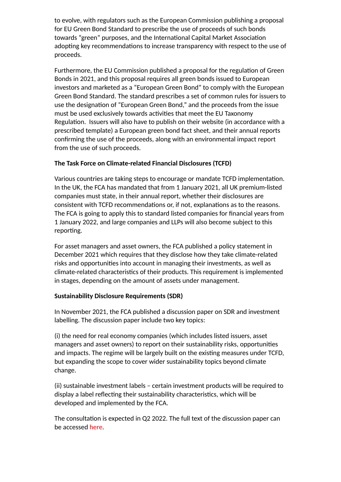to evolve, with regulators such as the European Commission publishing a proposal for EU Green Bond Standard to prescribe the use of proceeds of such bonds towards "green" purposes, and the International Capital Market Association adopting key recommendations to increase transparency with respect to the use of proceeds.

Furthermore, the EU Commission published a proposal for the regulation of Green Bonds in 2021, and this proposal requires all green bonds issued to European investors and marketed as a "European Green Bond" to comply with the European Green Bond Standard. The standard prescribes a set of common rules for issuers to use the designation of "European Green Bond," and the proceeds from the issue must be used exclusively towards activities that meet the EU Taxonomy Regulation. Issuers will also have to publish on their website (in accordance with a prescribed template) a European green bond fact sheet, and their annual reports confirming the use of the proceeds, along with an environmental impact report from the use of such proceeds.

#### **The Task Force on Climate-related Financial Disclosures (TCFD)**

Various countries are taking steps to encourage or mandate TCFD implementation. In the UK, the FCA has mandated that from 1 January 2021, all UK premium-listed companies must state, in their annual report, whether their disclosures are consistent with TCFD recommendations or, if not, explanations as to the reasons. The FCA is going to apply this to standard listed companies for financial years from 1 January 2022, and large companies and LLPs will also become subject to this reporting.

For asset managers and asset owners, the FCA published a policy statement in December 2021 which requires that they disclose how they take climate-related risks and opportunities into account in managing their investments, as well as climate-related characteristics of their products. This requirement is implemented in stages, depending on the amount of assets under management.

#### **Sustainability Disclosure Requirements (SDR)**

In November 2021, the FCA published a discussion paper on SDR and investment labelling. The discussion paper include two key topics:

(i) the need for real economy companies (which includes listed issuers, asset managers and asset owners) to report on their sustainability risks, opportunities and impacts. The regime will be largely built on the existing measures under TCFD, but expanding the scope to cover wider sustainability topics beyond climate change.

(ii) sustainable investment labels – certain investment products will be required to display a label reflecting their sustainability characteristics, which will be developed and implemented by the FCA.

The consultation is expected in Q2 2022. The full text of the discussion paper can be accessed [here](https://www.fca.org.uk/publication/discussion/dp21-4.pdf).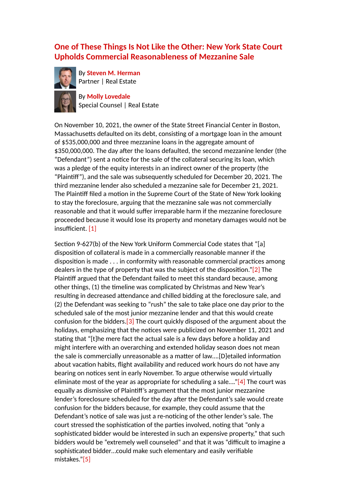### **One of These Things Is Not Like the Other: New York State Court Upholds Commercial Reasonableness of Mezzanine Sale**



By **[Steven M. Herman](https://www.cadwalader.com/professionals/steven-herman)** Partner | Real Estate

By **[Molly Lovedale](https://www.cadwalader.com/professionals/molly-lovedale)** Special Counsel | Real Estate

On November 10, 2021, the owner of the State Street Financial Center in Boston, Massachusetts defaulted on its debt, consisting of a mortgage loan in the amount of \$535,000,000 and three mezzanine loans in the aggregate amount of \$350,000,000. The day after the loans defaulted, the second mezzanine lender (the "Defendant") sent a notice for the sale of the collateral securing its loan, which was a pledge of the equity interests in an indirect owner of the property (the "Plainff"), and the sale was subsequently scheduled for December 20, 2021. The third mezzanine lender also scheduled a mezzanine sale for December 21, 2021. The Plaintiff filed a motion in the Supreme Court of the State of New York looking to stay the foreclosure, arguing that the mezzanine sale was not commercially reasonable and that it would suffer irreparable harm if the mezzanine foreclosure proceeded because it would lose its property and monetary damages would not be insufficient. [\[1\]](#page-4-0)

<span id="page-3-4"></span><span id="page-3-3"></span><span id="page-3-2"></span><span id="page-3-1"></span><span id="page-3-0"></span>Section 9-627(b) of the New York Uniform Commercial Code states that "[a] disposition of collateral is made in a commercially reasonable manner if the disposition is made  $\dots$  in conformity with reasonable commercial practices among dealers in the type of property that was the subject of the disposition." $[2]$  The Plaintiff argued that the Defendant failed to meet this standard because, among other things, (1) the timeline was complicated by Christmas and New Year's resulting in decreased attendance and chilled bidding at the foreclosure sale, and (2) the Defendant was seeking to "rush" the sale to take place one day prior to the scheduled sale of the most junior mezzanine lender and that this would create confusion for the bidders.[\[3\]](#page-4-2) The court quickly disposed of the argument about the holidays, emphasizing that the notices were publicized on November 11, 2021 and stating that "[t]he mere fact the actual sale is a few days before a holiday and might interfere with an overarching and extended holiday season does not mean the sale is commercially unreasonable as a matter of law....[D]etailed information about vacation habits, flight availability and reduced work hours do not have any bearing on notices sent in early November. To argue otherwise would virtually eliminate most of the year as appropriate for scheduling a sale....["\[4\]](#page-4-3) The court was equally as dismissive of Plainff's argument that the most junior mezzanine lender's foreclosure scheduled for the day after the Defendant's sale would create confusion for the bidders because, for example, they could assume that the Defendant's notice of sale was just a re-noticing of the other lender's sale. The court stressed the sophistication of the parties involved, noting that "only a sophisticated bidder would be interested in such an expensive property," that such bidders would be "extremely well counseled" and that it was "difficult to imagine a sophisticated bidder...could make such elementary and easily verifiable mistakes."[\[5\]](#page-4-4)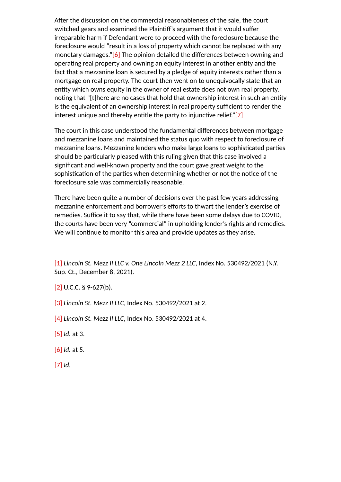<span id="page-4-7"></span>After the discussion on the commercial reasonableness of the sale, the court switched gears and examined the Plaintiff's argument that it would suffer irreparable harm if Defendant were to proceed with the foreclosure because the foreclosure would "result in a loss of property which cannot be replaced with any monetary damages."[\[6\]](#page-4-5) The opinion detailed the differences between owning and operating real property and owning an equity interest in another entity and the fact that a mezzanine loan is secured by a pledge of equity interests rather than a mortgage on real property. The court then went on to unequivocally state that an entity which owns equity in the owner of real estate does not own real property, noting that "[t]here are no cases that hold that ownership interest in such an entity is the equivalent of an ownership interest in real property sufficient to render the interest unique and thereby entitle the party to injunctive relief." $[7]$ 

<span id="page-4-8"></span>The court in this case understood the fundamental differences between mortgage and mezzanine loans and maintained the status quo with respect to foreclosure of mezzanine loans. Mezzanine lenders who make large loans to sophisticated parties should be particularly pleased with this ruling given that this case involved a significant and well-known property and the court gave great weight to the sophistication of the parties when determining whether or not the notice of the foreclosure sale was commercially reasonable.

There have been quite a number of decisions over the past few years addressing mezzanine enforcement and borrower's efforts to thwart the lender's exercise of remedies. Suffice it to say that, while there have been some delays due to COVID, the courts have been very "commercial" in upholding lender's rights and remedies. We will continue to monitor this area and provide updates as they arise.

<span id="page-4-0"></span>[\[1\]](#page-3-0) *Lincoln St. Mezz II LLC v. One Lincoln Mezz 2 LLC*, Index No. 530492/2021 (N.Y. Sup. Ct., December 8, 2021).

- <span id="page-4-1"></span> $[2]$  U.C.C. § 9-627(b).
- <span id="page-4-2"></span>[\[3\]](#page-3-2) *Lincoln St. Mezz II LLC*, Index No. 530492/2021 at 2.
- <span id="page-4-3"></span>[\[4\]](#page-3-3) *Lincoln St. Mezz II LLC*, Index No. 530492/2021 at 4.
- <span id="page-4-4"></span>[\[5\]](#page-3-4) *Id.* at 3.
- <span id="page-4-5"></span>[\[6\]](#page-4-7) *Id.* at 5.
- <span id="page-4-6"></span>[\[7\]](#page-4-8) *Id.*